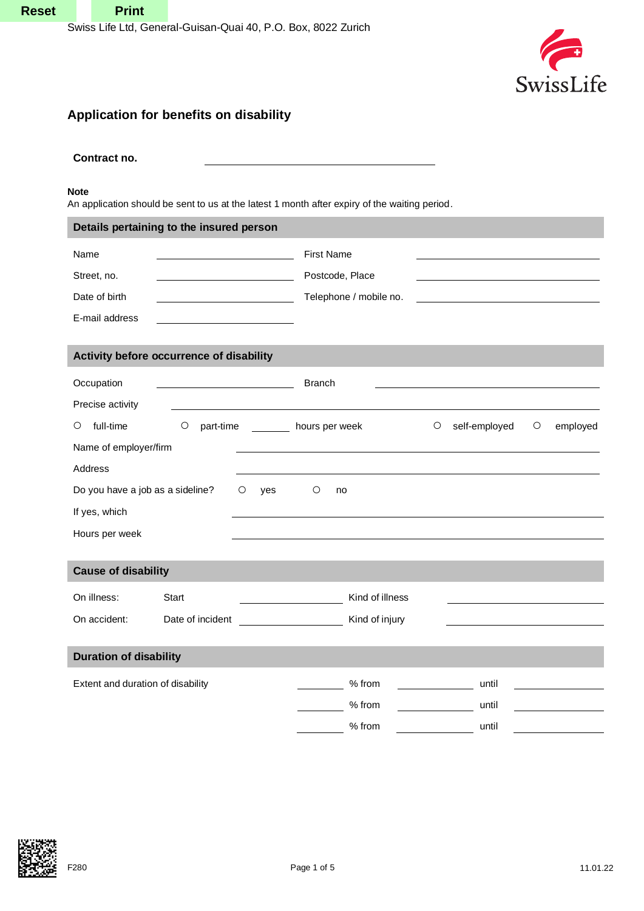

## **Application for benefits on disability**

# **Contract no. Note** An application should be sent to us at the latest 1 month after expiry of the waiting period. **Details pertaining to the insured person** Name First Name Street, no. Postcode, Place Date of birth  $\Box$  Telephone / mobile no. E-mail address **Activity before occurrence of disability** Occupation **Branch** Precise activity **○** full-time **○** part-time hours per week **○** self-employed **○** employed Name of employer/firm Address Do you have a job as a sideline? **○** yes **○** no If yes, which Hours per week **Cause of disability** On illness: Start Start Kind of illness On accident: Date of incident CD CON CONSERVING CONSERVING MANUSIC CONSERVING CONSERVING DR DETAILS **Duration of disability** Extent and duration of disability by the set of the set of the set of the set of the until % from until % from until **Reset**<br>
Sove Life Life Content Color Conservation (A), P.O. Box, 322 Zurich<br>
Application for benefits on disability<br>
Content info<br>
Deposite the conservation of the state internal memorial complete and points.<br>
Next, respe

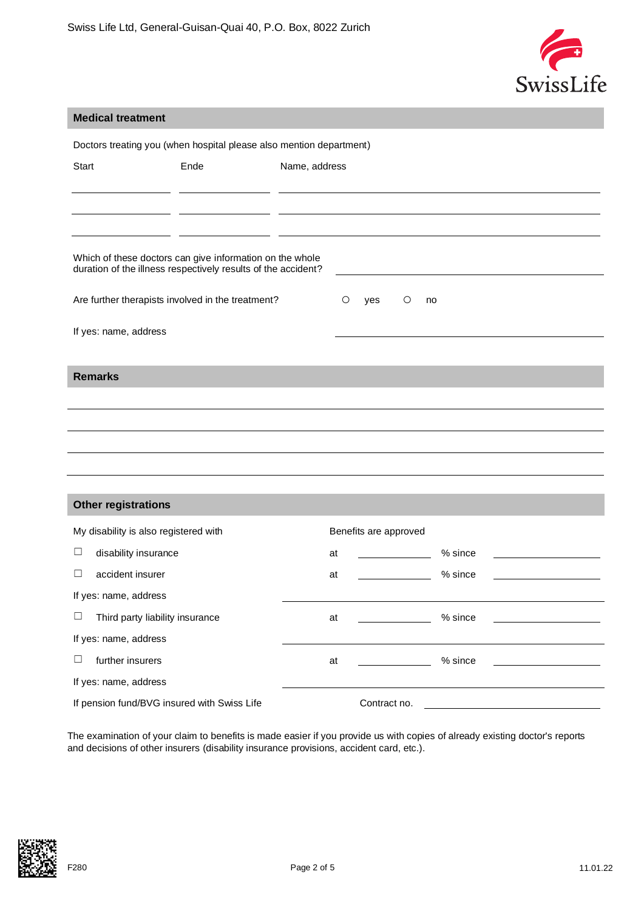

#### **Medical treatment**

| Doctors treating you (when hospital please also mention department)                                                       |      |               |                       |  |           |  |
|---------------------------------------------------------------------------------------------------------------------------|------|---------------|-----------------------|--|-----------|--|
| Start                                                                                                                     | Ende | Name, address |                       |  |           |  |
|                                                                                                                           |      |               |                       |  |           |  |
|                                                                                                                           |      |               |                       |  |           |  |
|                                                                                                                           |      |               |                       |  |           |  |
| Which of these doctors can give information on the whole<br>duration of the illness respectively results of the accident? |      |               |                       |  |           |  |
| Are further therapists involved in the treatment?<br>$\circ$<br>$\circ$<br>yes<br>no                                      |      |               |                       |  |           |  |
| If yes: name, address                                                                                                     |      |               |                       |  |           |  |
|                                                                                                                           |      |               |                       |  |           |  |
| <b>Remarks</b>                                                                                                            |      |               |                       |  |           |  |
|                                                                                                                           |      |               |                       |  |           |  |
|                                                                                                                           |      |               |                       |  |           |  |
|                                                                                                                           |      |               |                       |  |           |  |
|                                                                                                                           |      |               |                       |  |           |  |
|                                                                                                                           |      |               |                       |  |           |  |
| <b>Other registrations</b>                                                                                                |      |               |                       |  |           |  |
| My disability is also registered with                                                                                     |      |               | Benefits are approved |  |           |  |
| ⊔<br>disability insurance                                                                                                 |      | at            |                       |  | $%$ since |  |
| accident insurer<br>⊔                                                                                                     |      | at            |                       |  | % since   |  |
| If yes: name, address                                                                                                     |      |               |                       |  |           |  |
| Third party liability insurance<br>ப                                                                                      |      | at            |                       |  | % since   |  |
| If yes: name, address                                                                                                     |      |               |                       |  |           |  |
| $\Box$<br>further insurers                                                                                                |      | at            |                       |  | % since   |  |
| If yes: name, address                                                                                                     |      |               |                       |  |           |  |
| If pension fund/BVG insured with Swiss Life                                                                               |      |               | Contract no.          |  |           |  |

The examination of your claim to benefits is made easier if you provide us with copies of already existing doctor's reports and decisions of other insurers (disability insurance provisions, accident card, etc.).

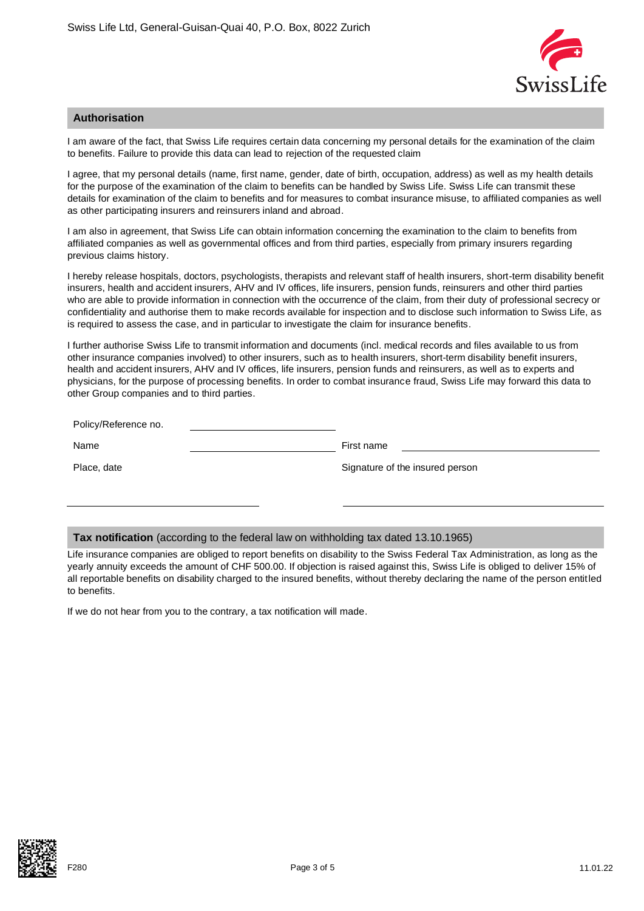

#### **Authorisation**

I am aware of the fact, that Swiss Life requires certain data concerning my personal details for the examination of the claim to benefits. Failure to provide this data can lead to rejection of the requested claim

I agree, that my personal details (name, first name, gender, date of birth, occupation, address) as well as my health details for the purpose of the examination of the claim to benefits can be handled by Swiss Life. Swiss Life can transmit these details for examination of the claim to benefits and for measures to combat insurance misuse, to affiliated companies as well as other participating insurers and reinsurers inland and abroad.

I am also in agreement, that Swiss Life can obtain information concerning the examination to the claim to benefits from affiliated companies as well as governmental offices and from third parties, especially from primary insurers regarding previous claims history.

I hereby release hospitals, doctors, psychologists, therapists and relevant staff of health insurers, short-term disability benefit insurers, health and accident insurers, AHV and IV offices, life insurers, pension funds, reinsurers and other third parties who are able to provide information in connection with the occurrence of the claim, from their duty of professional secrecy or confidentiality and authorise them to make records available for inspection and to disclose such information to Swiss Life, as is required to assess the case, and in particular to investigate the claim for insurance benefits.

I further authorise Swiss Life to transmit information and documents (incl. medical records and files available to us from other insurance companies involved) to other insurers, such as to health insurers, short-term disability benefit insurers, health and accident insurers, AHV and IV offices, life insurers, pension funds and reinsurers, as well as to experts and physicians, for the purpose of processing benefits. In order to combat insurance fraud, Swiss Life may forward this data to other Group companies and to third parties.

| Policy/Reference no. |                                 |
|----------------------|---------------------------------|
| Name                 | First name                      |
| Place, date          | Signature of the insured person |

#### **Tax notification** (according to the federal law on withholding tax dated 13.10.1965)

Life insurance companies are obliged to report benefits on disability to the Swiss Federal Tax Administration, as long as the yearly annuity exceeds the amount of CHF 500.00. If objection is raised against this, Swiss Life is obliged to deliver 15% of all reportable benefits on disability charged to the insured benefits, without thereby declaring the name of the person entitled to benefits.

If we do not hear from you to the contrary, a tax notification will made.

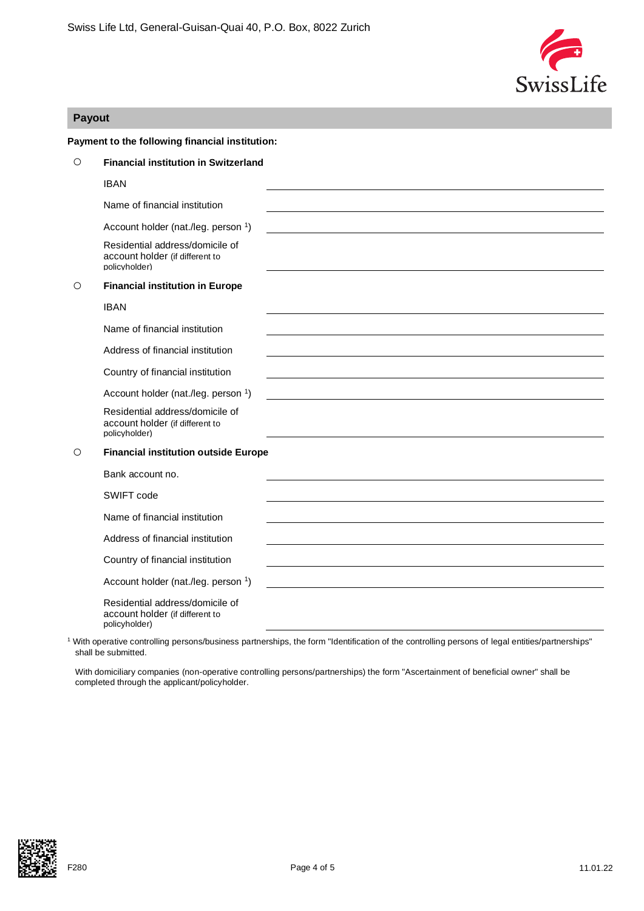

### **Payout**

|         | Payment to the following financial institution:                                     |
|---------|-------------------------------------------------------------------------------------|
| $\circ$ | <b>Financial institution in Switzerland</b>                                         |
|         | <b>IBAN</b>                                                                         |
|         | Name of financial institution                                                       |
|         | Account holder (nat./leg. person 1)                                                 |
|         | Residential address/domicile of<br>account holder (if different to<br>policyholder) |
| O       | <b>Financial institution in Europe</b>                                              |
|         | <b>IBAN</b>                                                                         |
|         | Name of financial institution                                                       |
|         | Address of financial institution                                                    |
|         | Country of financial institution                                                    |
|         | Account holder (nat./leg. person 1)                                                 |
|         | Residential address/domicile of<br>account holder (if different to<br>policyholder) |
| $\circ$ | <b>Financial institution outside Europe</b>                                         |
|         | Bank account no.                                                                    |
|         | SWIFT code                                                                          |
|         | Name of financial institution                                                       |
|         | Address of financial institution                                                    |
|         | Country of financial institution                                                    |
|         | Account holder (nat./leg. person 1)                                                 |
|         | Residential address/domicile of<br>account holder (if different to<br>policyholder) |

<sup>1</sup> With operative controlling persons/business partnerships, the form "Identification of the controlling persons of legal entities/partnerships" shall be submitted.

With domiciliary companies (non-operative controlling persons/partnerships) the form "Ascertainment of beneficial owner" shall be completed through the applicant/policyholder.